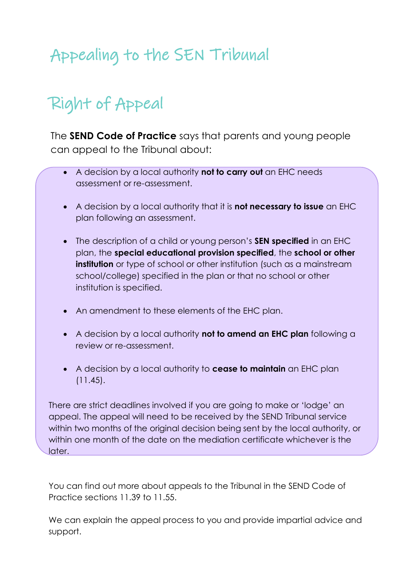# Appealing to the SEN Tribunal

# Right of Appeal

The **SEND Code of Practice** says that parents and young people can appeal to the Tribunal about:

- A decision by a local authority **not to carry out** an EHC needs assessment or re-assessment.
- A decision by a local authority that it is **not necessary to issue** an EHC plan following an assessment.
- The description of a child or young person's **SEN specified** in an EHC plan, the **special educational provision specified**, the **school or other institution** or type of school or other institution (such as a mainstream school/college) specified in the plan or that no school or other institution is specified.
- An amendment to these elements of the EHC plan.
- A decision by a local authority **not to amend an EHC plan** following a review or re-assessment.
- A decision by a local authority to **cease to maintain** an EHC plan (11.45).

There are strict deadlines involved if you are going to make or 'lodge' an appeal. The appeal will need to be received by the SEND Tribunal service within two months of the original decision being sent by the local authority, or within one month of the date on the mediation certificate whichever is the later.

You can find out more about appeals to the Tribunal in the SEND Code of Practice sections 11.39 to 11.55.

We can explain the appeal process to you and provide impartial advice and support.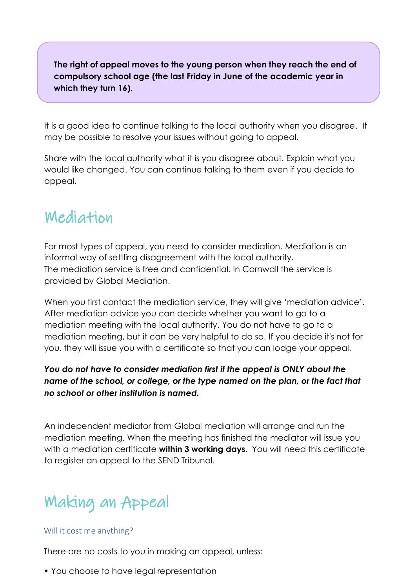**The right of appeal moves to the young person when they reach the end of compulsory school age (the last Friday in June of the academic year in which they turn 16).**

It is a good idea to continue talking to the local authority when you disagree. It may be possible to resolve your issues without going to appeal.

Share with the local authority what it is you disagree about. Explain what you would like changed. You can continue talking to them even if you decide to appeal.

#### Mediation

For most types of appeal, you need to consider mediation. Mediation is an informal way of settling disagreement with the local authority. The mediation service is free and confidential. In Cornwall the service is provided by Global Mediation.

When you first contact the mediation service, they will give 'mediation advice'. After mediation advice you can decide whether you want to go to a mediation meeting with the local authority. You do not have to go to g mediation meeting, but it can be very helpful to do so. If you decide it's not for you, they will issue you with a certificate so that you can lodge your appeal.

#### *You do not have to consider mediation first if the appeal is ONLY about the name of the school, or college, or the type named on the plan, or the fact that no school or other institution is named.*

An independent mediator from Global mediation will arrange and run the mediation meeting. When the meeting has finished the mediator will issue you with a mediation certificate **within 3 working days.** You will need this certificate to register an appeal to the SEND Tribunal.

# Making an Appeal

#### Will it cost me anything?

There are no costs to you in making an appeal, unless:

• You choose to have legal representation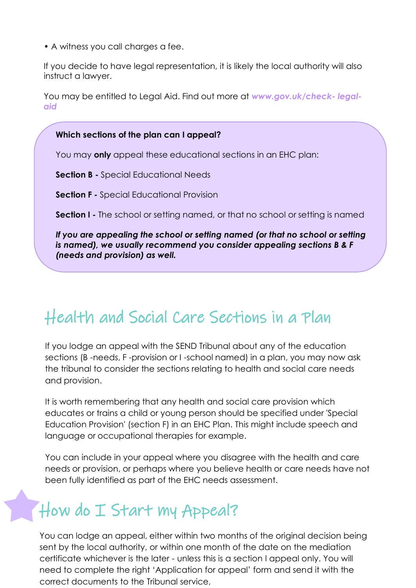• A witness you call charges a fee.

If you decide to have legal representation, it is likely the local authority will also instruct a lawyer.

You may be entitled to Legal Aid. Find out more at *[www.gov.uk/check-](http://www.gov.uk/check-) legalaid*

#### **Which sections of the plan can I appeal?**

You may **only** appeal these educational sections in an EHC plan:

**Section B -** Special Educational Needs

**Section F -** Special Educational Provision

**Section I -** The school or setting named, or that no school or setting is named

*If you are appealing the school or setting named (or that no school or setting is named), we usually recommend you consider appealing sections B & F (needs and provision) as well.*

### Health and Social Care Sections in a Plan

If you lodge an appeal with the SEND Tribunal about any of the education sections (B -needs, F -provision or I -school named) in a plan, you may now ask the tribunal to consider the sections relating to health and social care needs and provision.

It is worth remembering that any health and social care provision which educates or trains a child or young person should be specified under 'Special Education Provision' (section F) in an EHC Plan. This might include speech and language or occupational therapies for example.

You can include in your appeal where you disagree with the health and care needs or provision, or perhaps where you believe health or care needs have not been fully identified as part of the EHC needs assessment.

# How do I Start my Appeal?

You can lodge an appeal, either within two months of the original decision being sent by the local authority, or within one month of the date on the mediation certificate whichever is the later - unless this is a section I appeal only. You will need to complete the right 'Application for appeal' form and send it with the correct documents to the Tribunal service,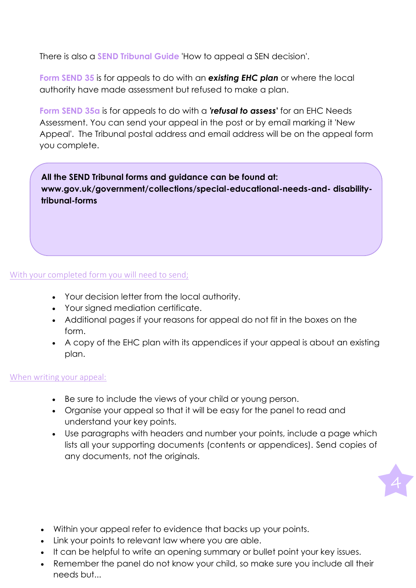There is also a **SEND Tribunal Guide** 'How to appeal a SEN decision'.

**Form SEND 35** is for appeals to do with an *existing EHC plan* or where the local authority have made assessment but refused to make a plan.

**Form SEND 35a** is for appeals to do with a *'refusal to assess'* for an EHC Needs Assessment. You can send your appeal in the post or by email marking it 'New Appeal'. The Tribunal postal address and email address will be on the appeal form you complete.

**All the SEND Tribunal forms and guidance can be found at: [www.gov.uk/government/collections/special-educational-needs-and-](http://www.gov.uk/government/collections/special-educational-needs-and-) disabilitytribunal-forms**

#### With your completed form you will need to send;

- Your decision letter from the local authority.
- Your signed mediation certificate.
- Additional pages if your reasons for appeal do not fit in the boxes on the form.
- A copy of the EHC plan with its appendices if your appeal is about an existing plan.

#### When writing your appeal:

- Be sure to include the views of your child or young person.
- Organise your appeal so that it will be easy for the panel to read and understand your key points.
- Use paragraphs with headers and number your points, include a page which lists all your supporting documents (contents or appendices). Send copies of any documents, not the originals.
	-

- Within your appeal refer to evidence that backs up your points.
- Link your points to relevant law where you are able.
- It can be helpful to write an opening summary or bullet point your key issues.
- Remember the panel do not know your child, so make sure you include all their needs but...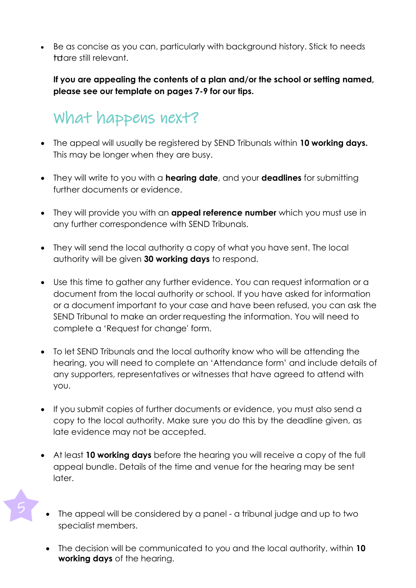• Be as concise as you can, particularly with background history. Stick to needs tratare still relevant.

**If you are appealing the contents of a plan and/or the school or setting named, please see our template on pages 7-9 for our tips.**

## What happens next?

- The appeal will usually be registered by SEND Tribunals within **10 working days.** This may be longer when they are busy.
- They will write to you with a **hearing date**, and your **deadlines** for submitting further documents or evidence.
- They will provide you with an **appeal reference number** which you must use in any further correspondence with SEND Tribunals.
- They will send the local authority a copy of what you have sent. The local authority will be given **30 working days** to respond.
- Use this time to gather any further evidence. You can request information or a document from the local authority or school. If you have asked for information or a document important to your case and have been refused, you can ask the SEND Tribunal to make an order requesting the information. You will need to complete a 'Request for change' form.
- To let SEND Tribunals and the local authority know who will be attending the hearing, you will need to complete an 'Attendance form' and include details of any supporters, representatives or witnesses that have agreed to attend with you.
- If you submit copies of further documents or evidence, you must also send a copy to the local authority. Make sure you do this by the deadline given, as late evidence may not be accepted.
- At least **10 working days** before the hearing you will receive a copy of the full appeal bundle. Details of the time and venue for the hearing may be sent later.
- The appeal will be considered by a panel a tribunal judge and up to two specialist members.
- The decision will be communicated to you and the local authority, within **10 working days** of the hearing.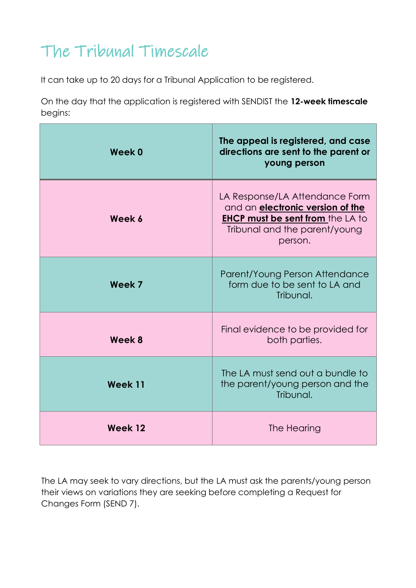# The Tribunal Timescale

It can take up to 20 days for a Tribunal Application to be registered.

On the day that the application is registered with SENDIST the **12-week timescale** begins:

| Week 0  | The appeal is registered, and case<br>directions are sent to the parent or<br>young person                                                                       |
|---------|------------------------------------------------------------------------------------------------------------------------------------------------------------------|
| Week 6  | LA Response/LA Attendance Form<br>and an <b>electronic version of the</b><br><b>EHCP must be sent from the LA to</b><br>Tribunal and the parent/young<br>person. |
| Week 7  | Parent/Young Person Attendance<br>form due to be sent to LA and<br>Tribunal.                                                                                     |
| Week 8  | Final evidence to be provided for<br>both parties.                                                                                                               |
| Week 11 | The LA must send out a bundle to<br>the parent/young person and the<br>Tribunal.                                                                                 |
| Week 12 | The Hearing                                                                                                                                                      |

The LA may seek to vary directions, but the LA must ask the parents/young person their views on variations they are seeking before completing a Request for Changes Form (SEND 7).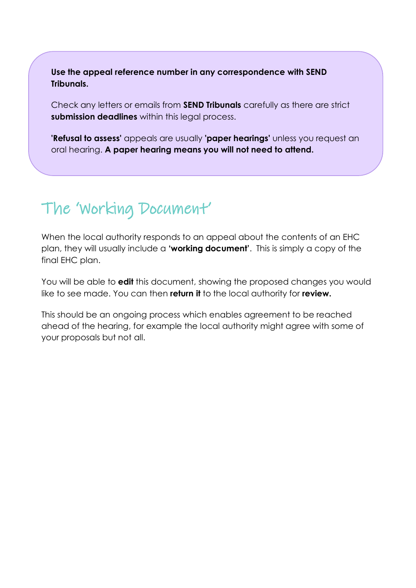**Use the appeal reference number in any correspondence with SEND Tribunals.**

Check any letters or emails from **SEND Tribunals** carefully as there are strict **submission deadlines** within this legal process.

**'Refusal to assess'** appeals are usually **'paper hearings'** unless you request an oral hearing. **A paper hearing means you will not need to attend.**

## The 'Working Document'

When the local authority responds to an appeal about the contents of an EHC plan, they will usually include a **'working document'**. This is simply a copy of the final EHC plan.

You will be able to **edit** this document, showing the proposed changes you would like to see made. You can then **return it** to the local authority for **review.**

This should be an ongoing process which enables agreement to be reached ahead of the hearing, for example the local authority might agree with some of your proposals but not all.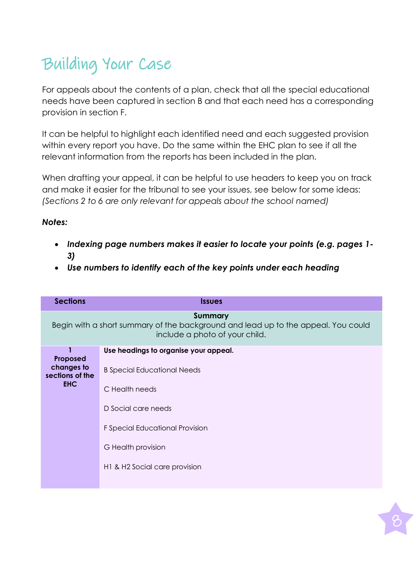# Building Your Case

For appeals about the contents of a plan, check that all the special educational needs have been captured in section B and that each need has a corresponding provision in section F.

It can be helpful to highlight each identified need and each suggested provision within every report you have. Do the same within the EHC plan to see if all the relevant information from the reports has been included in the plan.

When drafting your appeal, it can be helpful to use headers to keep you on track and make it easier for the tribunal to see your issues, see below for some ideas: *(Sections 2 to 6 are only relevant for appeals about the school named)*

#### *Notes:*

- *Indexing page numbers makes it easier to locate your points (e.g. pages 1- 3)*
- *Use numbers to identify each of the key points under each heading*

| <b>Issues</b>                                                                                                                                                                                                  |
|----------------------------------------------------------------------------------------------------------------------------------------------------------------------------------------------------------------|
| <b>Summary</b><br>Begin with a short summary of the background and lead up to the appeal. You could<br>include a photo of your child.                                                                          |
| Use headings to organise your appeal.<br><b>B</b> Special Educational Needs<br>C Health needs<br>D Social care needs<br>F Special Educational Provision<br>G Health provision<br>H1 & H2 Social care provision |
|                                                                                                                                                                                                                |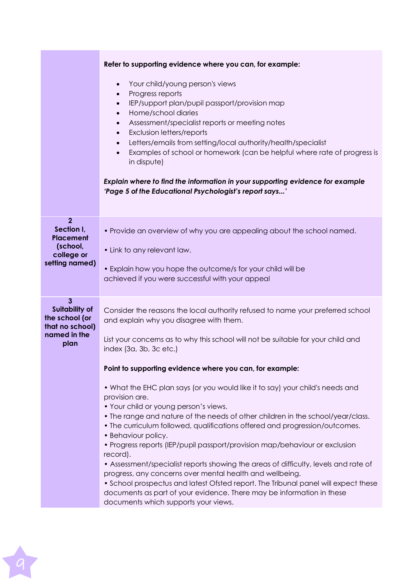|                                                                                                    | Refer to supporting evidence where you can, for example:                                                                                                                                                                                                                                                                                                                                                                                                                                                                                                                                                                                                                                                                                                                                                                                                                                                                                                                                                                                                                                       |
|----------------------------------------------------------------------------------------------------|------------------------------------------------------------------------------------------------------------------------------------------------------------------------------------------------------------------------------------------------------------------------------------------------------------------------------------------------------------------------------------------------------------------------------------------------------------------------------------------------------------------------------------------------------------------------------------------------------------------------------------------------------------------------------------------------------------------------------------------------------------------------------------------------------------------------------------------------------------------------------------------------------------------------------------------------------------------------------------------------------------------------------------------------------------------------------------------------|
|                                                                                                    | Your child/young person's views<br>$\bullet$<br>Progress reports<br>$\bullet$<br>IEP/support plan/pupil passport/provision map<br>$\bullet$<br>Home/school diaries<br>$\bullet$<br>Assessment/specialist reports or meeting notes<br>$\bullet$<br>Exclusion letters/reports<br>$\bullet$<br>Letters/emails from setting/local authority/health/specialist<br>$\bullet$<br>Examples of school or homework (can be helpful where rate of progress is<br>$\bullet$<br>in dispute)<br>Explain where to find the information in your supporting evidence for example<br>'Page 5 of the Educational Psychologist's report says'                                                                                                                                                                                                                                                                                                                                                                                                                                                                      |
| $\overline{2}$<br>Section I,<br>Placement<br>(school,<br>college or<br>setting named)              | . Provide an overview of why you are appealing about the school named.<br>• Link to any relevant law.<br>• Explain how you hope the outcome/s for your child will be<br>achieved if you were successful with your appeal                                                                                                                                                                                                                                                                                                                                                                                                                                                                                                                                                                                                                                                                                                                                                                                                                                                                       |
| $\mathbf{3}$<br><b>Suitability of</b><br>the school (or<br>that no school)<br>named in the<br>plan | Consider the reasons the local authority refused to name your preferred school<br>and explain why you disagree with them.<br>List your concerns as to why this school will not be suitable for your child and<br>index (3a, 3b, 3c etc.)<br>Point to supporting evidence where you can, for example:<br>• What the EHC plan says (or you would like it to say) your child's needs and<br>provision are.<br>• Your child or young person's views.<br>• The range and nature of the needs of other children in the school/year/class.<br>. The curriculum followed, qualifications offered and progression/outcomes.<br>• Behaviour policy.<br>• Progress reports (IEP/pupil passport/provision map/behaviour or exclusion<br>record).<br>• Assessment/specialist reports showing the areas of difficulty, levels and rate of<br>progress, any concerns over mental health and wellbeing.<br>• School prospectus and latest Ofsted report. The Tribunal panel will expect these<br>documents as part of your evidence. There may be information in these<br>documents which supports your views. |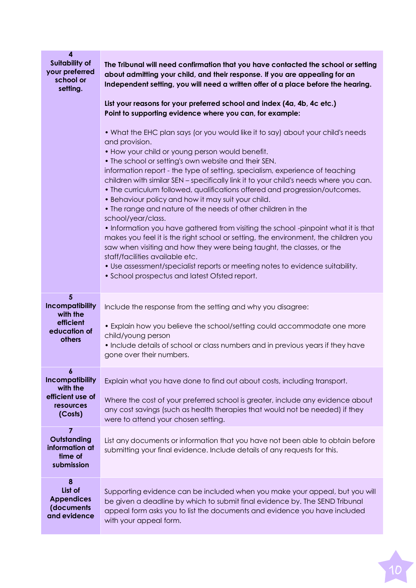| 4<br><b>Suitability of</b><br>your preferred<br>school or<br>setting.   | The Tribunal will need confirmation that you have contacted the school or setting<br>about admitting your child, and their response. If you are appealing for an<br>Independent setting, you will need a written offer of a place before the hearing.<br>List your reasons for your preferred school and index (4a, 4b, 4c etc.)<br>Point to supporting evidence where you can, for example:<br>• What the EHC plan says (or you would like it to say) about your child's needs<br>and provision.<br>• How your child or young person would benefit.<br>• The school or setting's own website and their SEN.<br>information report - the type of setting, specialism, experience of teaching<br>children with similar SEN - specifically link it to your child's needs where you can.<br>• The curriculum followed, qualifications offered and progression/outcomes.<br>• Behaviour policy and how it may suit your child.<br>• The range and nature of the needs of other children in the<br>school/year/class.<br>• Information you have gathered from visiting the school -pinpoint what it is that<br>makes you feel it is the right school or setting, the environment, the children you<br>saw when visiting and how they were being taught, the classes, or the<br>staff/facilities available etc.<br>. Use assessment/specialist reports or meeting notes to evidence suitability.<br>• School prospectus and latest Ofsted report. |
|-------------------------------------------------------------------------|---------------------------------------------------------------------------------------------------------------------------------------------------------------------------------------------------------------------------------------------------------------------------------------------------------------------------------------------------------------------------------------------------------------------------------------------------------------------------------------------------------------------------------------------------------------------------------------------------------------------------------------------------------------------------------------------------------------------------------------------------------------------------------------------------------------------------------------------------------------------------------------------------------------------------------------------------------------------------------------------------------------------------------------------------------------------------------------------------------------------------------------------------------------------------------------------------------------------------------------------------------------------------------------------------------------------------------------------------------------------------------------------------------------------------------------------|
| 5<br>Incompatibility<br>with the<br>efficient<br>education of<br>others | Include the response from the setting and why you disagree:<br>• Explain how you believe the school/setting could accommodate one more<br>child/young person<br>• Include details of school or class numbers and in previous years if they have<br>gone over their numbers.                                                                                                                                                                                                                                                                                                                                                                                                                                                                                                                                                                                                                                                                                                                                                                                                                                                                                                                                                                                                                                                                                                                                                                 |
| $\boldsymbol{6}$<br>Incompatibility<br>with the                         | Explain what you have done to find out about costs, including transport.                                                                                                                                                                                                                                                                                                                                                                                                                                                                                                                                                                                                                                                                                                                                                                                                                                                                                                                                                                                                                                                                                                                                                                                                                                                                                                                                                                    |
| efficient use of<br>resources<br>(Costs)                                | Where the cost of your preferred school is greater, include any evidence about<br>any cost savings (such as health therapies that would not be needed) if they<br>were to attend your chosen setting.                                                                                                                                                                                                                                                                                                                                                                                                                                                                                                                                                                                                                                                                                                                                                                                                                                                                                                                                                                                                                                                                                                                                                                                                                                       |
| 7<br>Outstanding<br>information at<br>time of<br>submission             | List any documents or information that you have not been able to obtain before<br>submitting your final evidence. Include details of any requests for this.                                                                                                                                                                                                                                                                                                                                                                                                                                                                                                                                                                                                                                                                                                                                                                                                                                                                                                                                                                                                                                                                                                                                                                                                                                                                                 |
| 8<br>List of<br><b>Appendices</b><br>(documents<br>and evidence         | Supporting evidence can be included when you make your appeal, but you will<br>be given a deadline by which to submit final evidence by. The SEND Tribunal<br>appeal form asks you to list the documents and evidence you have included<br>with your appeal form.                                                                                                                                                                                                                                                                                                                                                                                                                                                                                                                                                                                                                                                                                                                                                                                                                                                                                                                                                                                                                                                                                                                                                                           |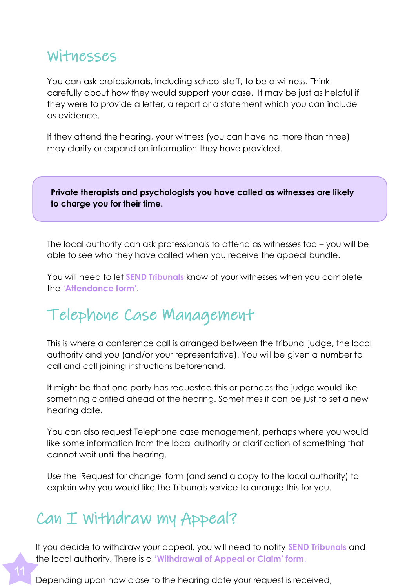#### Witnesses

You can ask professionals, including school staff, to be a witness. Think carefully about how they would support your case. It may be just as helpful if they were to provide a letter, a report or a statement which you can include as evidence.

If they attend the hearing, your witness (you can have no more than three) may clarify or expand on information they have provided.

**Private therapists and psychologists you have called as witnesses are likely to charge you for their time.**

The local authority can ask professionals to attend as witnesses too – you will be able to see who they have called when you receive the appeal bundle.

You will need to let **SEND Tribunals** know of your witnesses when you complete the **'Attendance form'**.

### Telephone Case Management

This is where a conference call is arranged between the tribunal judge, the local authority and you (and/or your representative). You will be given a number to call and call joining instructions beforehand.

It might be that one party has requested this or perhaps the judge would like something clarified ahead of the hearing. Sometimes it can be just to set a new hearing date.

You can also request Telephone case management, perhaps where you would like some information from the local authority or clarification of something that cannot wait until the hearing.

Use the 'Request for change' form (and send a copy to the local authority) to explain why you would like the Tribunals service to arrange this for you.

### Can I Withdraw my Appeal?

If you decide to withdraw your appeal, you will need to notify **SEND Tribunals** and the local authority. There is a '**Withdrawal of Appeal or Claim' form**.

Depending upon how close to the hearing date your request is received,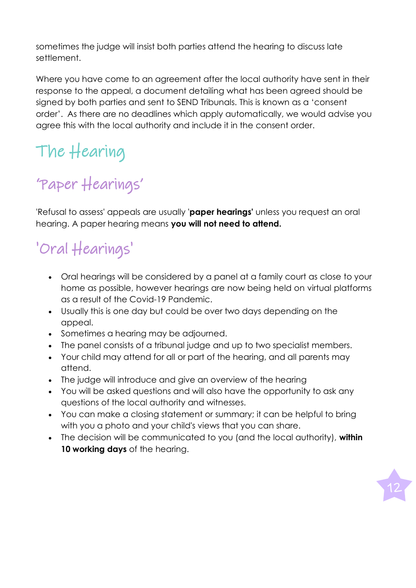sometimes the judge will insist both parties attend the hearing to discuss late settlement.

Where you have come to an agreement after the local authority have sent in their response to the appeal, a document detailing what has been agreed should be signed by both parties and sent to SEND Tribunals. This is known as a 'consent order'. As there are no deadlines which apply automatically, we would advise you agree this with the local authority and include it in the consent order.

# The Hearing

# 'Paper Hearings'

'Refusal to assess' appeals are usually '**paper hearings'** unless you request an oral hearing. A paper hearing means **you will not need to attend.**

# 'Oral Hearings'

- Oral hearings will be considered by a panel at a family court as close to your home as possible, however hearings are now being held on virtual platforms as a result of the Covid-19 Pandemic.
- Usually this is one day but could be over two days depending on the appeal.
- Sometimes a hearing may be adjourned.
- The panel consists of a tribunal judge and up to two specialist members.
- Your child may attend for all or part of the hearing, and all parents may attend.
- The judge will introduce and give an overview of the hearing
- You will be asked questions and will also have the opportunity to ask any questions of the local authority and witnesses.
- You can make a closing statement or summary; it can be helpful to bring with you a photo and your child's views that you can share.
- The decision will be communicated to you (and the local authority), **within 10 working days** of the hearing.

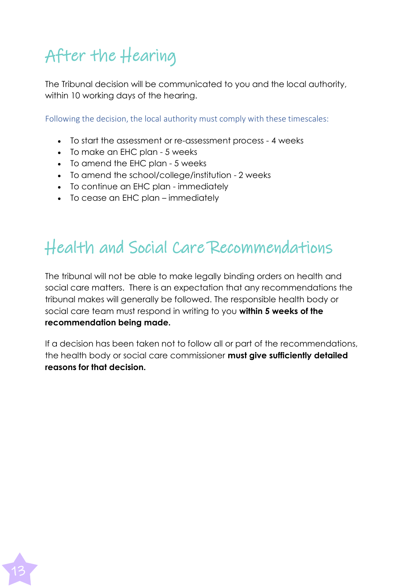# After the Hearing

The Tribunal decision will be communicated to you and the local authority, within 10 working days of the hearing.

Following the decision, the local authority must comply with these timescales:

- To start the assessment or re-assessment process 4 weeks
- To make an EHC plan 5 weeks

13

- To amend the EHC plan 5 weeks
- To amend the school/college/institution 2 weeks
- To continue an EHC plan immediately
- To cease an EHC plan immediately

# Health and Social Care Recommendations

The tribunal will not be able to make legally binding orders on health and social care matters. There is an expectation that any recommendations the tribunal makes will generally be followed. The responsible health body or social care team must respond in writing to you **within 5 weeks of the recommendation being made.**

If a decision has been taken not to follow all or part of the recommendations, the health body or social care commissioner **must give sufficiently detailed reasons for that decision.**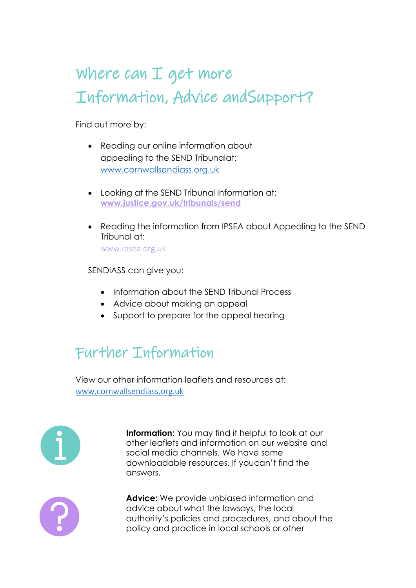# Where can I get more Information, Advice and Support?

Find out more by:

- Reading our online information about appealing to the SEND Tribunalat: [www.cornwallsendiass.org.uk](http://www.cornwallsendiass.org.uk/)
- Looking at the SEND Tribunal Information at: **[www.justice.gov.uk/tribunals/send](http://www.justice.gov.uk/tribunals/send)**
- Reading the information from IPSEA about Appealing to the SEND Tribunal at: [www.ipsea.org.uk](http://www.ipsea.org.uk/)

SENDIASS can give you:

- Information about the SEND Tribunal Process
- Advice about making an appeal
- Support to prepare for the appeal hearing

### Further Information

View our other information leaflets and resources at: [www.cornwallsendiass.org.uk](http://www.cornwallsendiass.org.uk/)



**Information:** You may find it helpful to look at our other leaflets and information on our website and social media channels. We have some downloadable resources. If youcan't find the answers.



**Advice:** We provide unbiased information and advice about what the lawsays, the local authority's policies and procedures, and about the policy and practice in local schools or other